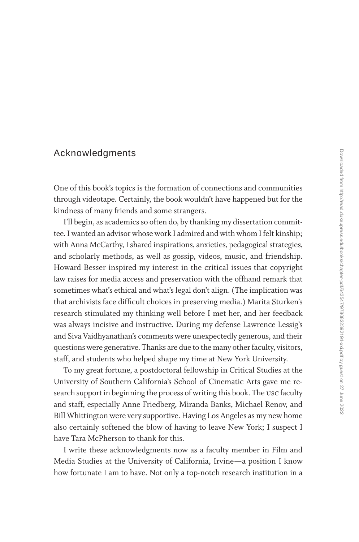## **Acknowledgments**

One of this book's topics is the formation of connections and communities through videotape. Certainly, the book wouldn't have happened but for the kindness of many friends and some strangers.

I'll begin, as academics so often do, by thanking my dissertation committee. I wanted an advisor whose work I admired and with whom I felt kinship; with Anna McCarthy, I shared inspirations, anxieties, pedagogical strategies, and scholarly methods, as well as gossip, videos, music, and friendship. Howard Besser inspired my interest in the critical issues that copyright law raises for media access and preservation with the offhand remark that sometimes what's ethical and what's legal don't align. (The implication was that archivists face difficult choices in preserving media.) Marita Sturken's research stimulated my thinking well before I met her, and her feedback was always incisive and instructive. During my defense Lawrence Lessig's and Siva Vaidhyanathan's comments were unexpectedly generous, and their questions were generative. Thanks are due to the many other faculty, visitors, staff, and students who helped shape my time at New York University.

To my great fortune, a postdoctoral fellowship in Critical Studies at the University of Southern California's School of Cinematic Arts gave me research support in beginning the process of writing this book. The usc faculty and staff, especially Anne Friedberg, Miranda Banks, Michael Renov, and Bill Whittington were very supportive. Having Los Angeles as my new home also certainly softened the blow of having to leave New York; I suspect I have Tara McPherson to thank for this.

I write these acknowledgments now as a faculty member in Film and Media Studies at the University of California, Irvine—a position I know how fortunate I am to have. Not only a top-notch research institution in a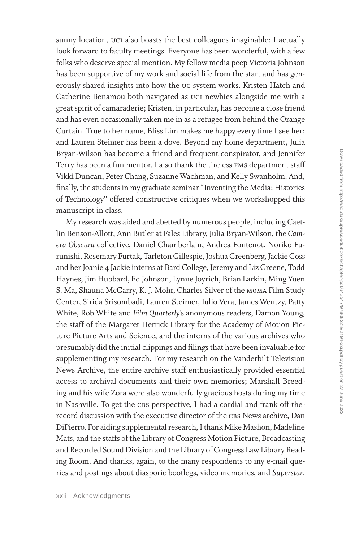sunny location, uci also boasts the best colleagues imaginable; I actually look forward to faculty meetings. Everyone has been wonderful, with a few folks who deserve special mention. My fellow media peep Victoria Johnson has been supportive of my work and social life from the start and has generously shared insights into how the uc system works. Kristen Hatch and Catherine Benamou both navigated as uci newbies alongside me with a great spirit of camaraderie; Kristen, in particular, has become a close friend and has even occasionally taken me in as a refugee from behind the Orange Curtain. True to her name, Bliss Lim makes me happy every time I see her; and Lauren Steimer has been a dove. Beyond my home department, Julia Bryan-Wilson has become a friend and frequent conspirator, and Jennifer Terry has been a fun mentor. I also thank the tireless fms department staff Vikki Duncan, Peter Chang, Suzanne Wachman, and Kelly Swanholm. And, finally, the students in my graduate seminar "Inventing the Media: Histories of Technology" offered constructive critiques when we workshopped this manuscript in class.

My research was aided and abetted by numerous people, including Caetlin Benson-Allott, Ann Butler at Fales Library, Julia Bryan-Wilson, the *Camera Obscura* collective, Daniel Chamberlain, Andrea Fontenot, Noriko Furunishi, Rosemary Furtak, Tarleton Gillespie, Joshua Greenberg, Jackie Goss and her Joanie 4 Jackie interns at Bard College, Jeremy and Liz Greene, Todd Haynes, Jim Hubbard, Ed Johnson, Lynne Joyrich, Brian Larkin, Ming Yuen S. Ma, Shauna McGarry, K. J. Mohr, Charles Silver of the moma Film Study Center, Sirida Srisombadi, Lauren Steimer, Julio Vera, James Wentzy, Patty White, Rob White and *Film Quarterly*'s anonymous readers, Damon Young, the staff of the Margaret Herrick Library for the Academy of Motion Picture Picture Arts and Science, and the interns of the various archives who presumably did the initial clippings and filings that have been invaluable for supplementing my research. For my research on the Vanderbilt Television News Archive, the entire archive staff enthusiastically provided essential access to archival documents and their own memories; Marshall Breeding and his wife Zora were also wonderfully gracious hosts during my time in Nashville. To get the CBS perspective, I had a cordial and frank off-therecord discussion with the executive director of the CBS News archive, Dan DiPierro. For aiding supplemental research, I thank Mike Mashon, Madeline Mats, and the staffs of the Library of Congress Motion Picture, Broadcasting and Recorded Sound Division and the Library of Congress Law Library Reading Room. And thanks, again, to the many respondents to my e-mail queries and postings about diasporic bootlegs, video memories, and *Superstar*.